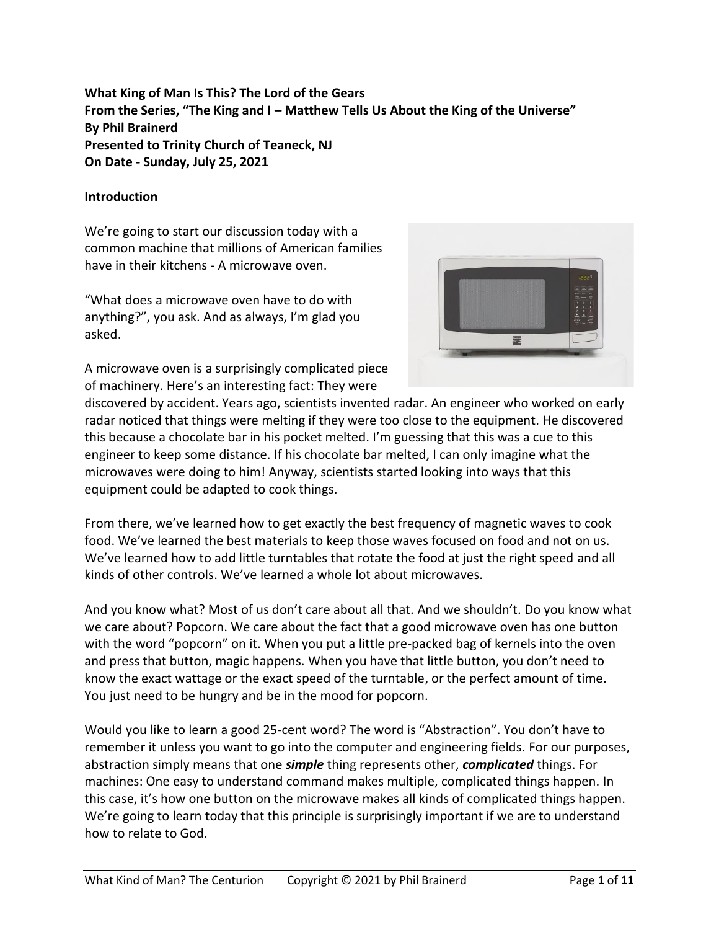**What King of Man Is This? The Lord of the Gears From the Series, "The King and I – Matthew Tells Us About the King of the Universe" By Phil Brainerd Presented to Trinity Church of Teaneck, NJ On Date - Sunday, July 25, 2021**

### **Introduction**

We're going to start our discussion today with a common machine that millions of American families have in their kitchens - A microwave oven.

"What does a microwave oven have to do with anything?", you ask. And as always, I'm glad you asked.



A microwave oven is a surprisingly complicated piece of machinery. Here's an interesting fact: They were

discovered by accident. Years ago, scientists invented radar. An engineer who worked on early radar noticed that things were melting if they were too close to the equipment. He discovered this because a chocolate bar in his pocket melted. I'm guessing that this was a cue to this engineer to keep some distance. If his chocolate bar melted, I can only imagine what the microwaves were doing to him! Anyway, scientists started looking into ways that this equipment could be adapted to cook things.

From there, we've learned how to get exactly the best frequency of magnetic waves to cook food. We've learned the best materials to keep those waves focused on food and not on us. We've learned how to add little turntables that rotate the food at just the right speed and all kinds of other controls. We've learned a whole lot about microwaves.

And you know what? Most of us don't care about all that. And we shouldn't. Do you know what we care about? Popcorn. We care about the fact that a good microwave oven has one button with the word "popcorn" on it. When you put a little pre-packed bag of kernels into the oven and press that button, magic happens. When you have that little button, you don't need to know the exact wattage or the exact speed of the turntable, or the perfect amount of time. You just need to be hungry and be in the mood for popcorn.

Would you like to learn a good 25-cent word? The word is "Abstraction". You don't have to remember it unless you want to go into the computer and engineering fields. For our purposes, abstraction simply means that one *simple* thing represents other, *complicated* things. For machines: One easy to understand command makes multiple, complicated things happen. In this case, it's how one button on the microwave makes all kinds of complicated things happen. We're going to learn today that this principle is surprisingly important if we are to understand how to relate to God.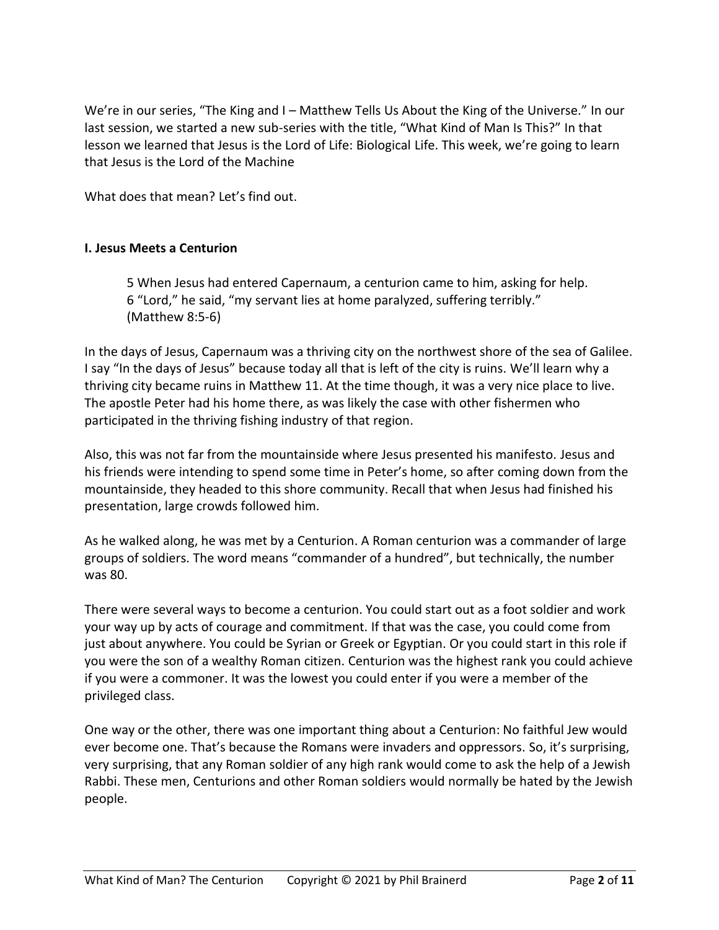We're in our series, "The King and I – Matthew Tells Us About the King of the Universe." In our last session, we started a new sub-series with the title, "What Kind of Man Is This?" In that lesson we learned that Jesus is the Lord of Life: Biological Life. This week, we're going to learn that Jesus is the Lord of the Machine

What does that mean? Let's find out.

### **I. Jesus Meets a Centurion**

5 When Jesus had entered Capernaum, a centurion came to him, asking for help. 6 "Lord," he said, "my servant lies at home paralyzed, suffering terribly." (Matthew 8:5-6)

In the days of Jesus, Capernaum was a thriving city on the northwest shore of the sea of Galilee. I say "In the days of Jesus" because today all that is left of the city is ruins. We'll learn why a thriving city became ruins in Matthew 11. At the time though, it was a very nice place to live. The apostle Peter had his home there, as was likely the case with other fishermen who participated in the thriving fishing industry of that region.

Also, this was not far from the mountainside where Jesus presented his manifesto. Jesus and his friends were intending to spend some time in Peter's home, so after coming down from the mountainside, they headed to this shore community. Recall that when Jesus had finished his presentation, large crowds followed him.

As he walked along, he was met by a Centurion. A Roman centurion was a commander of large groups of soldiers. The word means "commander of a hundred", but technically, the number was 80.

There were several ways to become a centurion. You could start out as a foot soldier and work your way up by acts of courage and commitment. If that was the case, you could come from just about anywhere. You could be Syrian or Greek or Egyptian. Or you could start in this role if you were the son of a wealthy Roman citizen. Centurion was the highest rank you could achieve if you were a commoner. It was the lowest you could enter if you were a member of the privileged class.

One way or the other, there was one important thing about a Centurion: No faithful Jew would ever become one. That's because the Romans were invaders and oppressors. So, it's surprising, very surprising, that any Roman soldier of any high rank would come to ask the help of a Jewish Rabbi. These men, Centurions and other Roman soldiers would normally be hated by the Jewish people.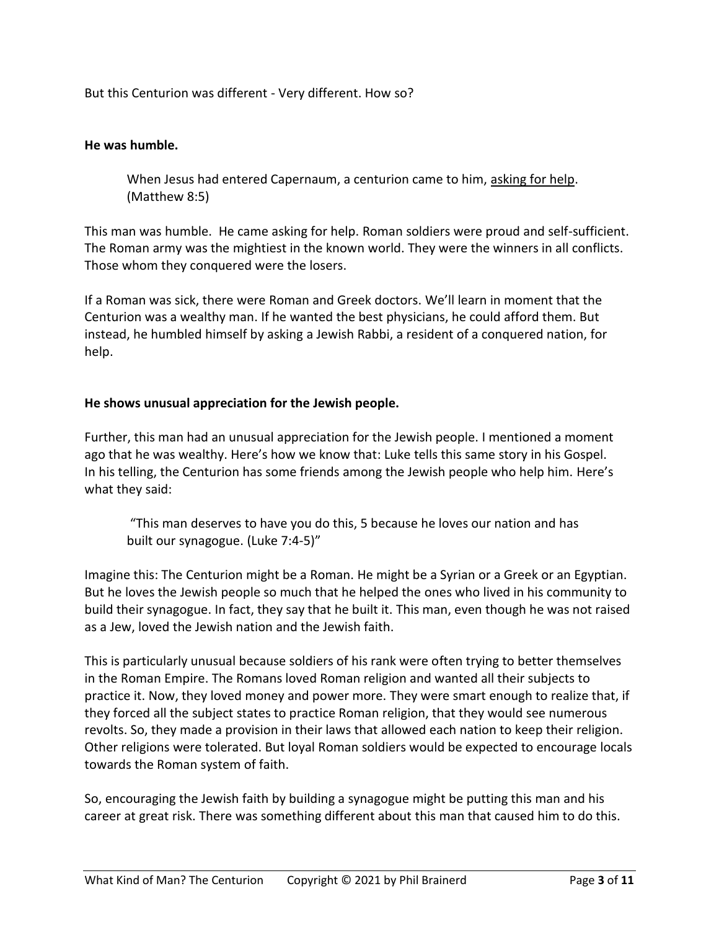But this Centurion was different - Very different. How so?

### **He was humble.**

When Jesus had entered Capernaum, a centurion came to him, asking for help. (Matthew 8:5)

This man was humble. He came asking for help. Roman soldiers were proud and self-sufficient. The Roman army was the mightiest in the known world. They were the winners in all conflicts. Those whom they conquered were the losers.

If a Roman was sick, there were Roman and Greek doctors. We'll learn in moment that the Centurion was a wealthy man. If he wanted the best physicians, he could afford them. But instead, he humbled himself by asking a Jewish Rabbi, a resident of a conquered nation, for help.

### **He shows unusual appreciation for the Jewish people.**

Further, this man had an unusual appreciation for the Jewish people. I mentioned a moment ago that he was wealthy. Here's how we know that: Luke tells this same story in his Gospel. In his telling, the Centurion has some friends among the Jewish people who help him. Here's what they said:

"This man deserves to have you do this, 5 because he loves our nation and has built our synagogue. (Luke 7:4-5)"

Imagine this: The Centurion might be a Roman. He might be a Syrian or a Greek or an Egyptian. But he loves the Jewish people so much that he helped the ones who lived in his community to build their synagogue. In fact, they say that he built it. This man, even though he was not raised as a Jew, loved the Jewish nation and the Jewish faith.

This is particularly unusual because soldiers of his rank were often trying to better themselves in the Roman Empire. The Romans loved Roman religion and wanted all their subjects to practice it. Now, they loved money and power more. They were smart enough to realize that, if they forced all the subject states to practice Roman religion, that they would see numerous revolts. So, they made a provision in their laws that allowed each nation to keep their religion. Other religions were tolerated. But loyal Roman soldiers would be expected to encourage locals towards the Roman system of faith.

So, encouraging the Jewish faith by building a synagogue might be putting this man and his career at great risk. There was something different about this man that caused him to do this.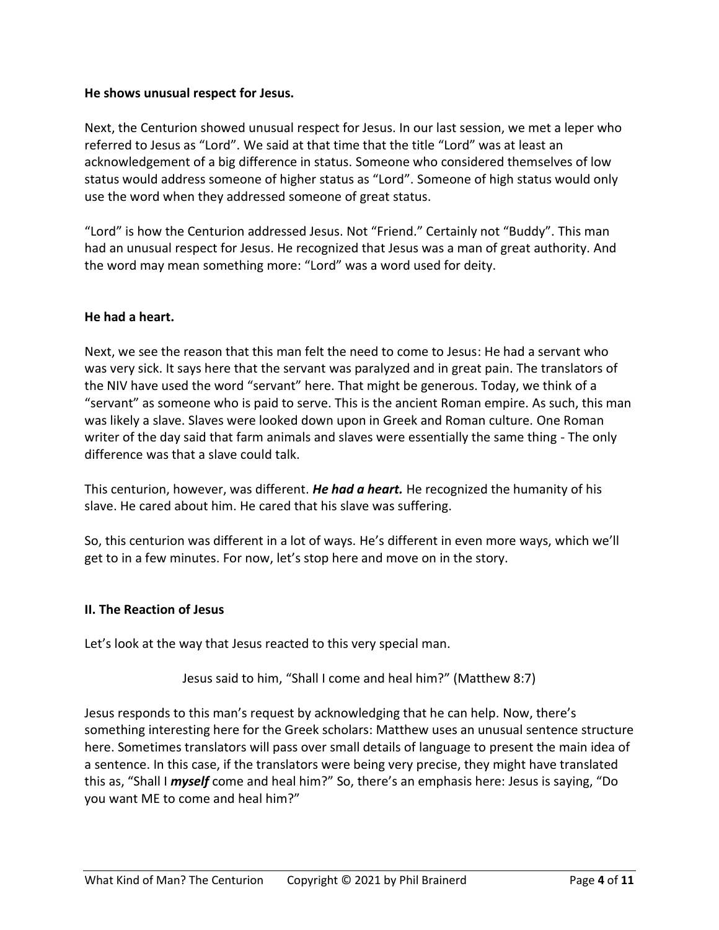### **He shows unusual respect for Jesus.**

Next, the Centurion showed unusual respect for Jesus. In our last session, we met a leper who referred to Jesus as "Lord". We said at that time that the title "Lord" was at least an acknowledgement of a big difference in status. Someone who considered themselves of low status would address someone of higher status as "Lord". Someone of high status would only use the word when they addressed someone of great status.

"Lord" is how the Centurion addressed Jesus. Not "Friend." Certainly not "Buddy". This man had an unusual respect for Jesus. He recognized that Jesus was a man of great authority. And the word may mean something more: "Lord" was a word used for deity.

# **He had a heart.**

Next, we see the reason that this man felt the need to come to Jesus: He had a servant who was very sick. It says here that the servant was paralyzed and in great pain. The translators of the NIV have used the word "servant" here. That might be generous. Today, we think of a "servant" as someone who is paid to serve. This is the ancient Roman empire. As such, this man was likely a slave. Slaves were looked down upon in Greek and Roman culture. One Roman writer of the day said that farm animals and slaves were essentially the same thing - The only difference was that a slave could talk.

This centurion, however, was different. *He had a heart.* He recognized the humanity of his slave. He cared about him. He cared that his slave was suffering.

So, this centurion was different in a lot of ways. He's different in even more ways, which we'll get to in a few minutes. For now, let's stop here and move on in the story.

# **II. The Reaction of Jesus**

Let's look at the way that Jesus reacted to this very special man.

Jesus said to him, "Shall I come and heal him?" (Matthew 8:7)

Jesus responds to this man's request by acknowledging that he can help. Now, there's something interesting here for the Greek scholars: Matthew uses an unusual sentence structure here. Sometimes translators will pass over small details of language to present the main idea of a sentence. In this case, if the translators were being very precise, they might have translated this as, "Shall I *myself* come and heal him?" So, there's an emphasis here: Jesus is saying, "Do you want ME to come and heal him?"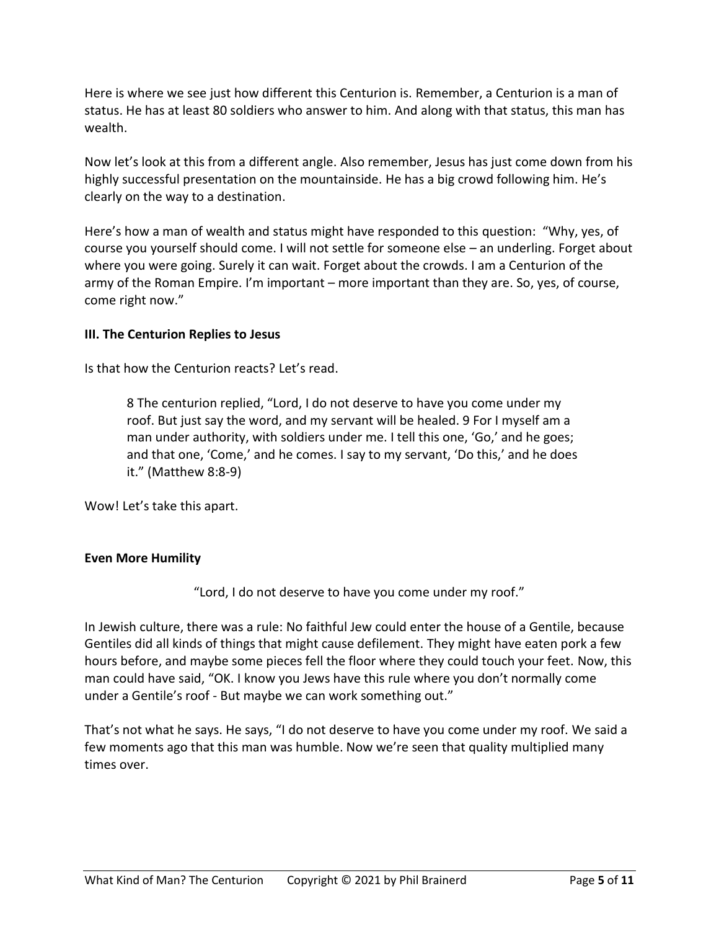Here is where we see just how different this Centurion is. Remember, a Centurion is a man of status. He has at least 80 soldiers who answer to him. And along with that status, this man has wealth.

Now let's look at this from a different angle. Also remember, Jesus has just come down from his highly successful presentation on the mountainside. He has a big crowd following him. He's clearly on the way to a destination.

Here's how a man of wealth and status might have responded to this question: "Why, yes, of course you yourself should come. I will not settle for someone else – an underling. Forget about where you were going. Surely it can wait. Forget about the crowds. I am a Centurion of the army of the Roman Empire. I'm important – more important than they are. So, yes, of course, come right now."

### **III. The Centurion Replies to Jesus**

Is that how the Centurion reacts? Let's read.

8 The centurion replied, "Lord, I do not deserve to have you come under my roof. But just say the word, and my servant will be healed. 9 For I myself am a man under authority, with soldiers under me. I tell this one, 'Go,' and he goes; and that one, 'Come,' and he comes. I say to my servant, 'Do this,' and he does it." (Matthew 8:8-9)

Wow! Let's take this apart.

# **Even More Humility**

"Lord, I do not deserve to have you come under my roof."

In Jewish culture, there was a rule: No faithful Jew could enter the house of a Gentile, because Gentiles did all kinds of things that might cause defilement. They might have eaten pork a few hours before, and maybe some pieces fell the floor where they could touch your feet. Now, this man could have said, "OK. I know you Jews have this rule where you don't normally come under a Gentile's roof - But maybe we can work something out."

That's not what he says. He says, "I do not deserve to have you come under my roof. We said a few moments ago that this man was humble. Now we're seen that quality multiplied many times over.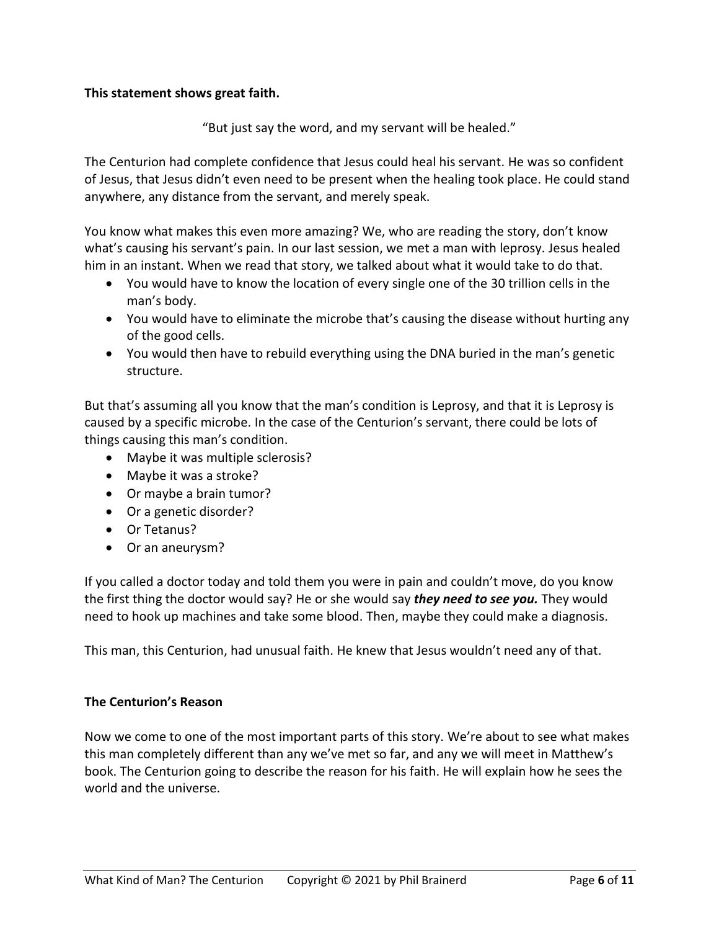### **This statement shows great faith.**

"But just say the word, and my servant will be healed."

The Centurion had complete confidence that Jesus could heal his servant. He was so confident of Jesus, that Jesus didn't even need to be present when the healing took place. He could stand anywhere, any distance from the servant, and merely speak.

You know what makes this even more amazing? We, who are reading the story, don't know what's causing his servant's pain. In our last session, we met a man with leprosy. Jesus healed him in an instant. When we read that story, we talked about what it would take to do that.

- You would have to know the location of every single one of the 30 trillion cells in the man's body.
- You would have to eliminate the microbe that's causing the disease without hurting any of the good cells.
- You would then have to rebuild everything using the DNA buried in the man's genetic structure.

But that's assuming all you know that the man's condition is Leprosy, and that it is Leprosy is caused by a specific microbe. In the case of the Centurion's servant, there could be lots of things causing this man's condition.

- Maybe it was multiple sclerosis?
- Maybe it was a stroke?
- Or maybe a brain tumor?
- Or a genetic disorder?
- Or Tetanus?
- Or an aneurysm?

If you called a doctor today and told them you were in pain and couldn't move, do you know the first thing the doctor would say? He or she would say *they need to see you.* They would need to hook up machines and take some blood. Then, maybe they could make a diagnosis.

This man, this Centurion, had unusual faith. He knew that Jesus wouldn't need any of that.

#### **The Centurion's Reason**

Now we come to one of the most important parts of this story. We're about to see what makes this man completely different than any we've met so far, and any we will meet in Matthew's book. The Centurion going to describe the reason for his faith. He will explain how he sees the world and the universe.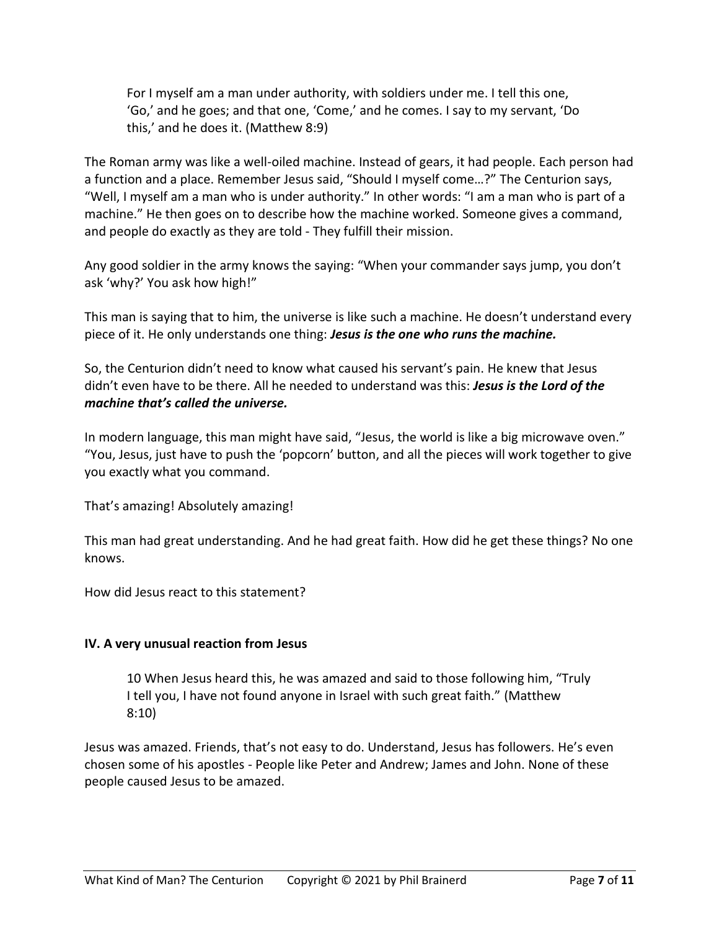For I myself am a man under authority, with soldiers under me. I tell this one, 'Go,' and he goes; and that one, 'Come,' and he comes. I say to my servant, 'Do this,' and he does it. (Matthew 8:9)

The Roman army was like a well-oiled machine. Instead of gears, it had people. Each person had a function and a place. Remember Jesus said, "Should I myself come…?" The Centurion says, "Well, I myself am a man who is under authority." In other words: "I am a man who is part of a machine." He then goes on to describe how the machine worked. Someone gives a command, and people do exactly as they are told - They fulfill their mission.

Any good soldier in the army knows the saying: "When your commander says jump, you don't ask 'why?' You ask how high!"

This man is saying that to him, the universe is like such a machine. He doesn't understand every piece of it. He only understands one thing: *Jesus is the one who runs the machine.*

So, the Centurion didn't need to know what caused his servant's pain. He knew that Jesus didn't even have to be there. All he needed to understand was this: *Jesus is the Lord of the machine that's called the universe.*

In modern language, this man might have said, "Jesus, the world is like a big microwave oven." "You, Jesus, just have to push the 'popcorn' button, and all the pieces will work together to give you exactly what you command.

That's amazing! Absolutely amazing!

This man had great understanding. And he had great faith. How did he get these things? No one knows.

How did Jesus react to this statement?

# **IV. A very unusual reaction from Jesus**

10 When Jesus heard this, he was amazed and said to those following him, "Truly I tell you, I have not found anyone in Israel with such great faith." (Matthew 8:10)

Jesus was amazed. Friends, that's not easy to do. Understand, Jesus has followers. He's even chosen some of his apostles - People like Peter and Andrew; James and John. None of these people caused Jesus to be amazed.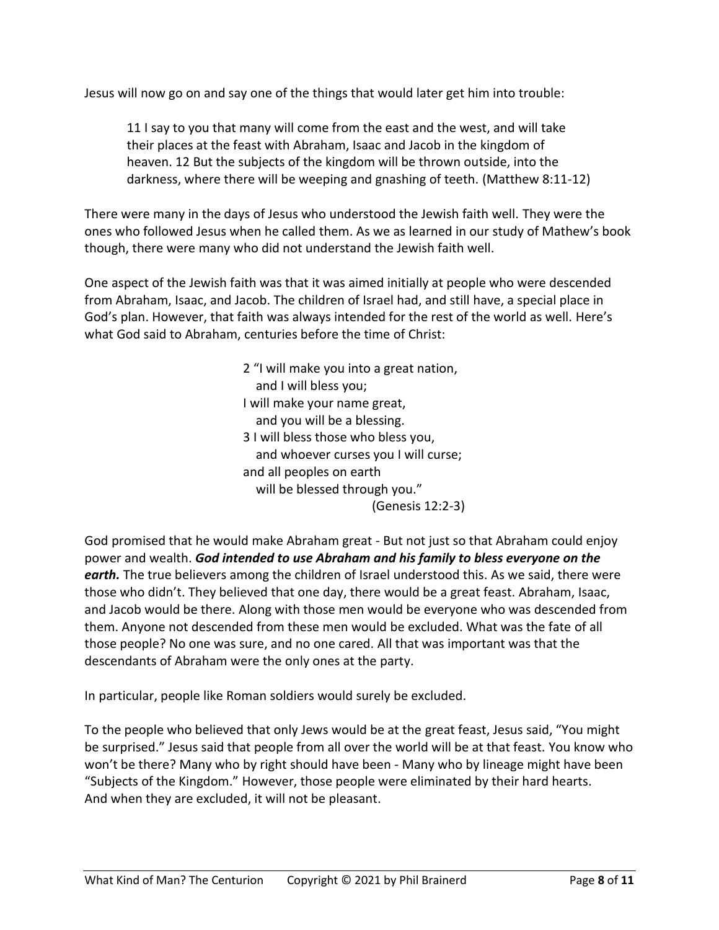Jesus will now go on and say one of the things that would later get him into trouble:

11 I say to you that many will come from the east and the west, and will take their places at the feast with Abraham, Isaac and Jacob in the kingdom of heaven. 12 But the subjects of the kingdom will be thrown outside, into the darkness, where there will be weeping and gnashing of teeth. (Matthew 8:11-12)

There were many in the days of Jesus who understood the Jewish faith well. They were the ones who followed Jesus when he called them. As we as learned in our study of Mathew's book though, there were many who did not understand the Jewish faith well.

One aspect of the Jewish faith was that it was aimed initially at people who were descended from Abraham, Isaac, and Jacob. The children of Israel had, and still have, a special place in God's plan. However, that faith was always intended for the rest of the world as well. Here's what God said to Abraham, centuries before the time of Christ:

> 2 "I will make you into a great nation, and I will bless you; I will make your name great, and you will be a blessing. 3 I will bless those who bless you, and whoever curses you I will curse; and all peoples on earth will be blessed through you." (Genesis 12:2-3)

God promised that he would make Abraham great - But not just so that Abraham could enjoy power and wealth. *God intended to use Abraham and his family to bless everyone on the*  earth. The true believers among the children of Israel understood this. As we said, there were those who didn't. They believed that one day, there would be a great feast. Abraham, Isaac, and Jacob would be there. Along with those men would be everyone who was descended from them. Anyone not descended from these men would be excluded. What was the fate of all those people? No one was sure, and no one cared. All that was important was that the descendants of Abraham were the only ones at the party.

In particular, people like Roman soldiers would surely be excluded.

To the people who believed that only Jews would be at the great feast, Jesus said, "You might be surprised." Jesus said that people from all over the world will be at that feast. You know who won't be there? Many who by right should have been - Many who by lineage might have been "Subjects of the Kingdom." However, those people were eliminated by their hard hearts. And when they are excluded, it will not be pleasant.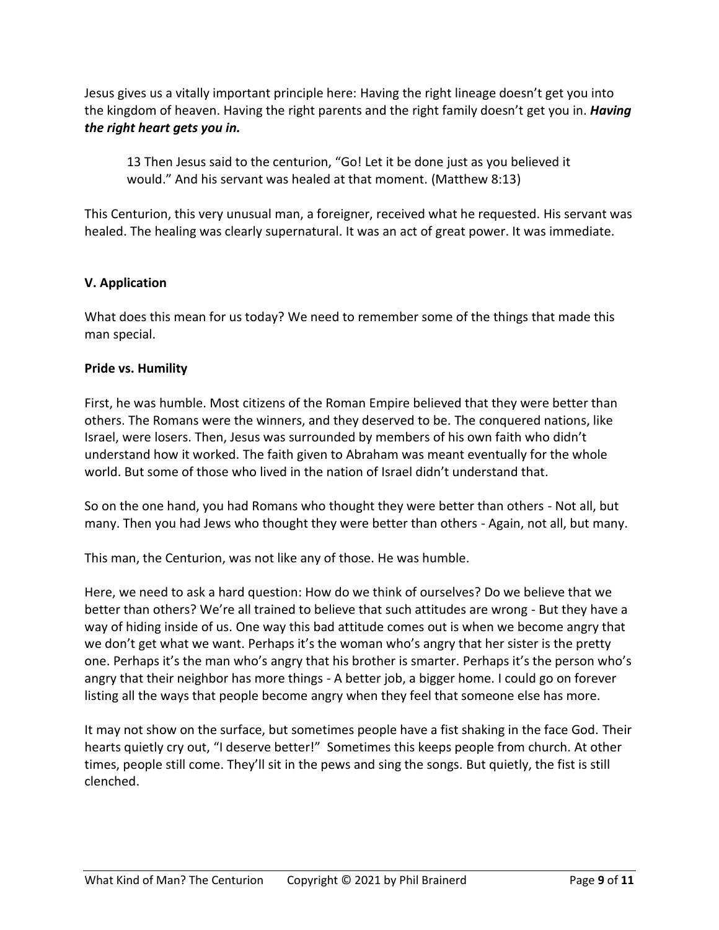Jesus gives us a vitally important principle here: Having the right lineage doesn't get you into the kingdom of heaven. Having the right parents and the right family doesn't get you in. *Having the right heart gets you in.*

13 Then Jesus said to the centurion, "Go! Let it be done just as you believed it would." And his servant was healed at that moment. (Matthew 8:13)

This Centurion, this very unusual man, a foreigner, received what he requested. His servant was healed. The healing was clearly supernatural. It was an act of great power. It was immediate.

# **V. Application**

What does this mean for us today? We need to remember some of the things that made this man special.

# **Pride vs. Humility**

First, he was humble. Most citizens of the Roman Empire believed that they were better than others. The Romans were the winners, and they deserved to be. The conquered nations, like Israel, were losers. Then, Jesus was surrounded by members of his own faith who didn't understand how it worked. The faith given to Abraham was meant eventually for the whole world. But some of those who lived in the nation of Israel didn't understand that.

So on the one hand, you had Romans who thought they were better than others - Not all, but many. Then you had Jews who thought they were better than others - Again, not all, but many.

This man, the Centurion, was not like any of those. He was humble.

Here, we need to ask a hard question: How do we think of ourselves? Do we believe that we better than others? We're all trained to believe that such attitudes are wrong - But they have a way of hiding inside of us. One way this bad attitude comes out is when we become angry that we don't get what we want. Perhaps it's the woman who's angry that her sister is the pretty one. Perhaps it's the man who's angry that his brother is smarter. Perhaps it's the person who's angry that their neighbor has more things - A better job, a bigger home. I could go on forever listing all the ways that people become angry when they feel that someone else has more.

It may not show on the surface, but sometimes people have a fist shaking in the face God. Their hearts quietly cry out, "I deserve better!" Sometimes this keeps people from church. At other times, people still come. They'll sit in the pews and sing the songs. But quietly, the fist is still clenched.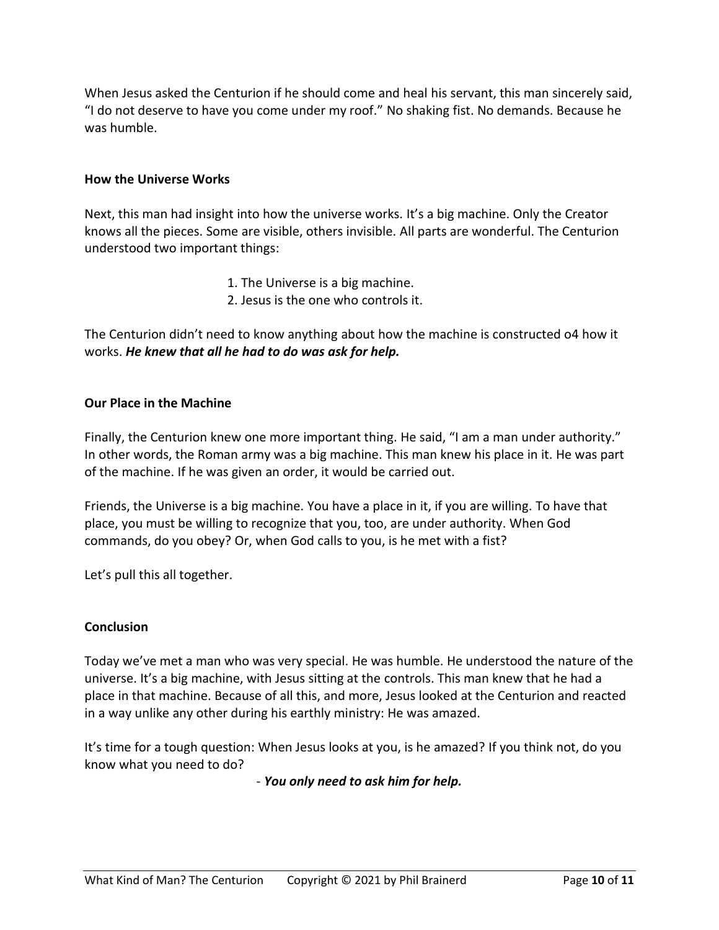When Jesus asked the Centurion if he should come and heal his servant, this man sincerely said, "I do not deserve to have you come under my roof." No shaking fist. No demands. Because he was humble.

### **How the Universe Works**

Next, this man had insight into how the universe works. It's a big machine. Only the Creator knows all the pieces. Some are visible, others invisible. All parts are wonderful. The Centurion understood two important things:

- 1. The Universe is a big machine.
- 2. Jesus is the one who controls it.

The Centurion didn't need to know anything about how the machine is constructed o4 how it works. *He knew that all he had to do was ask for help.*

### **Our Place in the Machine**

Finally, the Centurion knew one more important thing. He said, "I am a man under authority." In other words, the Roman army was a big machine. This man knew his place in it. He was part of the machine. If he was given an order, it would be carried out.

Friends, the Universe is a big machine. You have a place in it, if you are willing. To have that place, you must be willing to recognize that you, too, are under authority. When God commands, do you obey? Or, when God calls to you, is he met with a fist?

Let's pull this all together.

#### **Conclusion**

Today we've met a man who was very special. He was humble. He understood the nature of the universe. It's a big machine, with Jesus sitting at the controls. This man knew that he had a place in that machine. Because of all this, and more, Jesus looked at the Centurion and reacted in a way unlike any other during his earthly ministry: He was amazed.

It's time for a tough question: When Jesus looks at you, is he amazed? If you think not, do you know what you need to do?

- *You only need to ask him for help.*